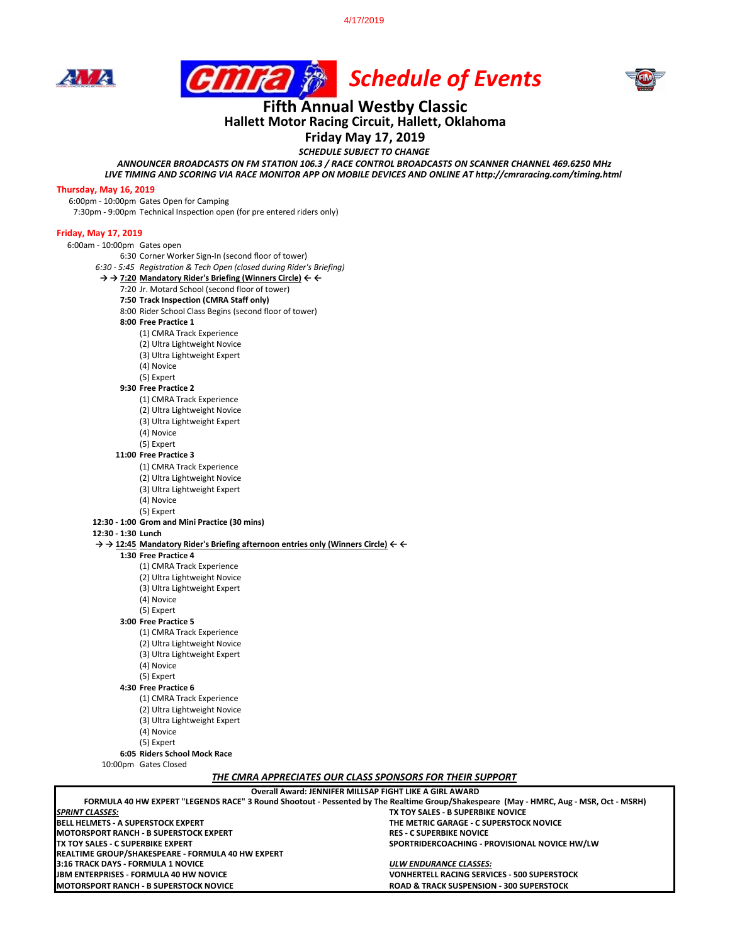4/17/2019







## **Fifth Annual Westby Classic Hallett Motor Racing Circuit, Hallett, Oklahoma**

### **Friday May 17, 2019**

*SCHEDULE SUBJECT TO CHANGE*

*ANNOUNCER BROADCASTS ON FM STATION 106.3 / RACE CONTROL BROADCASTS ON SCANNER CHANNEL 469.6250 MHz LIVE TIMING AND SCORING VIA RACE MONITOR APP ON MOBILE DEVICES AND ONLINE AT http://cmraracing.com/timing.html* 

#### **Thursday, May 16, 2019**

6:00pm - 10:00pm Gates Open for Camping 7:30pm - 9:00pm Technical Inspection open (for pre entered riders only)

#### **Friday, May 17, 2019**

| 6:00am - 10:00pm Gates open |                                                                                                                                |
|-----------------------------|--------------------------------------------------------------------------------------------------------------------------------|
|                             | 6:30 Corner Worker Sign-In (second floor of tower)                                                                             |
|                             | 6:30 - 5:45 Registration & Tech Open (closed during Rider's Briefing)                                                          |
|                             | $\rightarrow$ $\rightarrow$ 7:20 Mandatory Rider's Briefing (Winners Circle) $\leftarrow$ $\leftarrow$                         |
|                             | 7:20 Jr. Motard School (second floor of tower)                                                                                 |
|                             | 7:50 Track Inspection (CMRA Staff only)                                                                                        |
|                             | 8:00 Rider School Class Begins (second floor of tower)                                                                         |
|                             | 8:00 Free Practice 1                                                                                                           |
|                             | (1) CMRA Track Experience                                                                                                      |
|                             | (2) Ultra Lightweight Novice                                                                                                   |
|                             | (3) Ultra Lightweight Expert                                                                                                   |
|                             | (4) Novice                                                                                                                     |
|                             | (5) Expert                                                                                                                     |
|                             | 9:30 Free Practice 2                                                                                                           |
|                             | (1) CMRA Track Experience                                                                                                      |
|                             | (2) Ultra Lightweight Novice                                                                                                   |
|                             | (3) Ultra Lightweight Expert                                                                                                   |
|                             | (4) Novice                                                                                                                     |
|                             | (5) Expert                                                                                                                     |
|                             | 11:00 Free Practice 3                                                                                                          |
|                             | (1) CMRA Track Experience                                                                                                      |
|                             | (2) Ultra Lightweight Novice                                                                                                   |
|                             | (3) Ultra Lightweight Expert                                                                                                   |
|                             | (4) Novice                                                                                                                     |
|                             | (5) Expert                                                                                                                     |
|                             | 12:30 - 1:00 Grom and Mini Practice (30 mins)                                                                                  |
| 12:30 - 1:30 Lunch          |                                                                                                                                |
|                             | $\rightarrow$ $\rightarrow$ 12:45 Mandatory Rider's Briefing afternoon entries only (Winners Circle) $\leftarrow$ $\leftarrow$ |
|                             | 1:30 Free Practice 4                                                                                                           |
|                             | (1) CMRA Track Experience                                                                                                      |
|                             | (2) Ultra Lightweight Novice                                                                                                   |
|                             | (3) Ultra Lightweight Expert                                                                                                   |
|                             | (4) Novice                                                                                                                     |
|                             | (5) Expert                                                                                                                     |
|                             | 3:00 Free Practice 5                                                                                                           |
|                             | (1) CMRA Track Experience                                                                                                      |
|                             | (2) Ultra Lightweight Novice                                                                                                   |
|                             | (3) Ultra Lightweight Expert                                                                                                   |
|                             | (4) Novice                                                                                                                     |
|                             | (5) Expert                                                                                                                     |
|                             | 4:30 Free Practice 6                                                                                                           |
|                             | (1) CMRA Track Experience                                                                                                      |
|                             | (2) Ultra Lightweight Novice                                                                                                   |
|                             | (3) Ultra Lightweight Expert                                                                                                   |
|                             | (4) Novice                                                                                                                     |
|                             | (5) Expert                                                                                                                     |
|                             | 6:05 Riders School Mock Race                                                                                                   |
|                             | 10:00pm Gates Closed                                                                                                           |
|                             | THE CMRA APPRECIATES OUR CLASS SPONSORS FOR THEIR SUPPORT                                                                      |

| Overall Award: JENNIFER MILLSAP FIGHT LIKE A GIRL AWARD                                                                                |                                                     |  |  |
|----------------------------------------------------------------------------------------------------------------------------------------|-----------------------------------------------------|--|--|
| FORMULA 40 HW EXPERT "LEGENDS RACE" 3 Round Shootout - Pessented by The Realtime Group/Shakespeare (May - HMRC, Aug - MSR, Oct - MSRH) |                                                     |  |  |
| <b>SPRINT CLASSES:</b>                                                                                                                 | TX TOY SALES - B SUPERBIKE NOVICE                   |  |  |
| <b>BELL HELMETS - A SUPERSTOCK EXPERT</b>                                                                                              | THE METRIC GARAGE - C SUPERSTOCK NOVICE             |  |  |
| IMOTORSPORT RANCH - B SUPERSTOCK EXPERT                                                                                                | <b>RES - C SUPERBIKE NOVICE</b>                     |  |  |
| ITX TOY SALES - C SUPERBIKE EXPERT                                                                                                     | SPORTRIDERCOACHING - PROVISIONAL NOVICE HW/LW       |  |  |
| <b>REALTIME GROUP/SHAKESPEARE - FORMULA 40 HW EXPERT</b>                                                                               |                                                     |  |  |
| 3:16 TRACK DAYS - FORMULA 1 NOVICE                                                                                                     | ULW ENDURANCE CLASSES:                              |  |  |
| <b>IJBM ENTERPRISES - FORMULA 40 HW NOVICE</b>                                                                                         | <b>VONHERTELL RACING SERVICES - 500 SUPERSTOCK</b>  |  |  |
| IMOTORSPORT RANCH - B SUPERSTOCK NOVICE                                                                                                | <b>ROAD &amp; TRACK SUSPENSION - 300 SUPERSTOCK</b> |  |  |